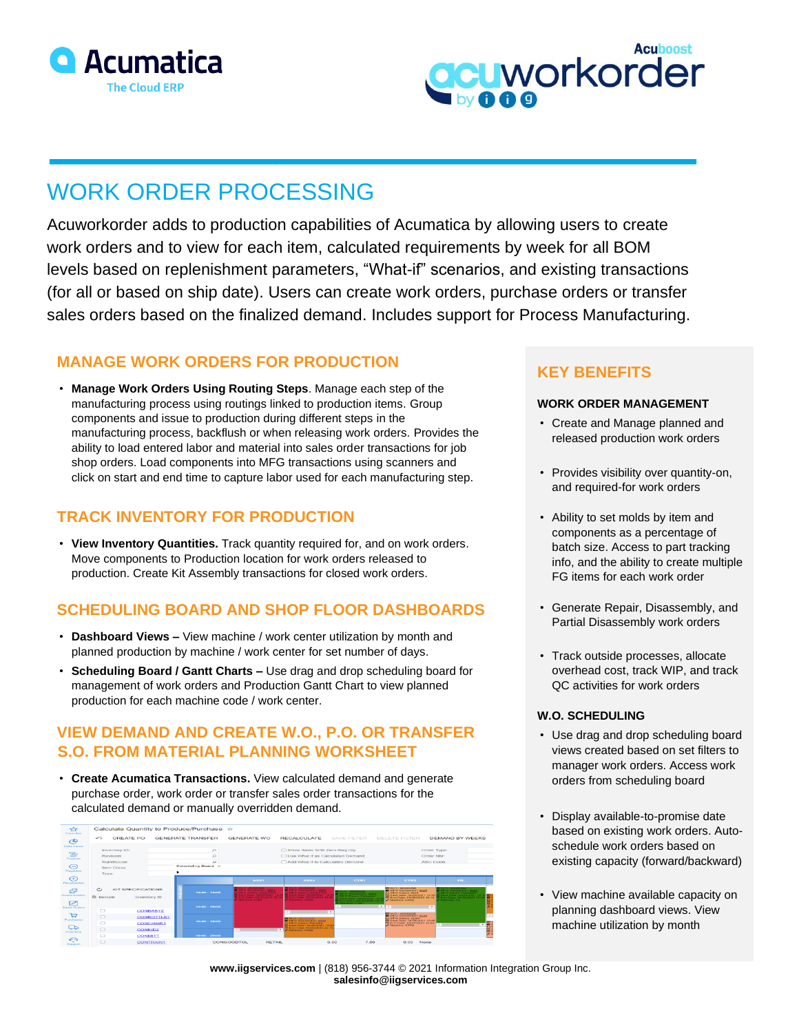



# WORK ORDER PROCESSING

Acuworkorder adds to production capabilities of Acumatica by allowing users to create work orders and to view for each item, calculated requirements by week for all BOM levels based on replenishment parameters, "What-if" scenarios, and existing transactions (for all or based on ship date). Users can create work orders, purchase orders or transfer sales orders based on the finalized demand. Includes support for Process Manufacturing.

### **MANAGE WORK ORDERS FOR PRODUCTION**

• **Manage Work Orders Using Routing Steps**. Manage each step of the manufacturing process using routings linked to production items. Group components and issue to production during different steps in the manufacturing process, backflush or when releasing work orders. Provides the ability to load entered labor and material into sales order transactions for job shop orders. Load components into MFG transactions using scanners and click on start and end time to capture labor used for each manufacturing step.

### **TRACK INVENTORY FOR PRODUCTION**

• **View Inventory Quantities.** Track quantity required for, and on work orders. Move components to Production location for work orders released to production. Create Kit Assembly transactions for closed work orders.

## **SCHEDULING BOARD AND SHOP FLOOR DASHBOARDS**

- **Dashboard Views –** View machine / work center utilization by month and planned production by machine / work center for set number of days.
- **Scheduling Board / Gantt Charts –** Use drag and drop scheduling board for management of work orders and Production Gantt Chart to view planned production for each machine code / work center.

## **VIEW DEMAND AND CREATE W.O., P.O. OR TRANSFER S.O. FROM MATERIAL PLANNING WORKSHEET**

• **Create Acumatica Transactions.** View calculated demand and generate purchase order, work order or transfer sales order transactions for the calculated demand or manually overridden demand.

| ☆<br>Favorites                       |                                     |                                                  | Calculate Quantity to Produce/Purchase * |                                                                                                                    |                                                                                                                                    |                                                                                            |                                                                                                                                                                                                                                                                                     |                                                                                                                                                       |
|--------------------------------------|-------------------------------------|--------------------------------------------------|------------------------------------------|--------------------------------------------------------------------------------------------------------------------|------------------------------------------------------------------------------------------------------------------------------------|--------------------------------------------------------------------------------------------|-------------------------------------------------------------------------------------------------------------------------------------------------------------------------------------------------------------------------------------------------------------------------------------|-------------------------------------------------------------------------------------------------------------------------------------------------------|
| ඐ                                    | ∽                                   | <b>CREATE PO</b>                                 | GENERATE TRANSFER                        | GENERATE WO                                                                                                        | <b>RECALCULATE</b>                                                                                                                 | SAVE FILTER                                                                                | <b>DELETE FILTER</b>                                                                                                                                                                                                                                                                | DEMAND BY WEEKS                                                                                                                                       |
| Data Views                           | Inventory ID:                       |                                                  | $\varnothing$                            |                                                                                                                    | □ Show Items With Zero Reg Qty                                                                                                     |                                                                                            | Order Type:                                                                                                                                                                                                                                                                         |                                                                                                                                                       |
| 통<br>Projects                        | Revision:                           |                                                  | ₽                                        |                                                                                                                    | C Use What if as Calculated Demand                                                                                                 |                                                                                            | Order Nbr:                                                                                                                                                                                                                                                                          |                                                                                                                                                       |
|                                      | Warehouse:                          |                                                  | $\circ$                                  |                                                                                                                    | Add What if to Calculated Demand                                                                                                   |                                                                                            | ABC Code:                                                                                                                                                                                                                                                                           |                                                                                                                                                       |
| ∊<br>Payables                        | Item Class:                         |                                                  | Scheduling Board +/                      |                                                                                                                    |                                                                                                                                    |                                                                                            |                                                                                                                                                                                                                                                                                     |                                                                                                                                                       |
|                                      | Type:                               |                                                  |                                          |                                                                                                                    |                                                                                                                                    |                                                                                            |                                                                                                                                                                                                                                                                                     |                                                                                                                                                       |
| Œ<br>Renativations                   |                                     |                                                  |                                          | <b>ABB1</b>                                                                                                        | <b>ABB2</b>                                                                                                                        | <b>CTR1</b>                                                                                | <b>CTR2</b>                                                                                                                                                                                                                                                                         | <b>FILL</b>                                                                                                                                           |
| 53<br>Customization                  | $\ddot{\circ}$<br><b>EH</b> Include | <b>KIT SPECIFICATIONS</b><br><b>Inventory ID</b> | 12.00 - 14.00                            | MEG Transaction: 0001<br><b>MFG Status: Shop From</b><br>Start Date: 05/26/2021 12:<br>First Date: 05/26/2023 18:3 | <b>Ch MEG Transportion: 0005</b><br>Affice deature: Shop From<br>10 Glart Date: 05/20/2021 12<br><b>M. End Data: 05/26/2021 16</b> | <b>BE MARKET WARDTOOM ON</b><br><b>D. MPG Transaction: 0003</b><br>C) MEG Status: Balaysad | <b>BB W.O.</b> WORKERS<br><b>AB ANYCL Transportion: 0020</b><br>C) MFG Status: Hold<br><b>MA Ritert Date: 05/26/2021 12-15</b><br>CO Fired Dyster: 08/26/2021 15:15                                                                                                                 | <b>SOCOOL WAS LOVED</b><br><b>A MEC Transaction: 0002</b><br>3 MFG Blatza: Reteased<br><b>Black Date: 05/26/2021 12</b><br>Test Date: 05/26/2021 17:4 |
| $\varnothing$<br><b>Gales Orders</b> |                                     |                                                  | $14:00 - 16:00$                          | Machine AGGS                                                                                                       | A Machiner Anno                                                                                                                    | 1 Stert Date: 05/26/2021 12<br>The Bate Dividend In<br>A Machine CTRT<br>$\sim$            | A Menhine: CTPI2<br>$\overline{a}$ . The contract of the contract of the contract of the contract of the contract of the contract of the contract of the contract of the contract of the contract of the contract of the contract of the contract of th<br>$\overline{\phantom{a}}$ | Martine Ft.                                                                                                                                           |
| ᄂ                                    | $\Box$                              | <b>CONBABY2</b>                                  |                                          |                                                                                                                    |                                                                                                                                    |                                                                                            | <b>III</b> W.O.: WODD298<br><b>@</b> MITQ Transaction: 0040                                                                                                                                                                                                                         |                                                                                                                                                       |
| Purchases                            | $\Box$                              | <b>CONBOTTLE1</b>                                | 10:00 - 18:00                            |                                                                                                                    | <b>BEE VALGES WAS FOUNDED.</b><br><b>C</b> MFG Transaction: 0006                                                                   |                                                                                            | C) MFG Status: Open<br>Th Start Date: 05/20/2021 15:45                                                                                                                                                                                                                              |                                                                                                                                                       |
|                                      | $\Box$                              | <b>CONCHAIR1</b>                                 |                                          |                                                                                                                    | C MFG Status: Pending<br>10:31 AT Chate   05/29/2021 19:31                                                                         |                                                                                            | Th End Date: 05/27/2021 15:00<br>A Machina: OTRO                                                                                                                                                                                                                                    | <b>B 100 AM</b><br><b>C3B</b>                                                                                                                         |
| ದಾ<br>Inventory                      | $\Box$                              | <b>CONKID2</b>                                   |                                          | $\overline{a}$<br>. .                                                                                              | <b>EAR DAME OS/20/2021 22:15</b><br><b><i><u>AAAGERDA ABBZ</u></i></b>                                                             |                                                                                            |                                                                                                                                                                                                                                                                                     |                                                                                                                                                       |
|                                      | $\Box$                              | <b>CONMITT</b>                                   | $18:00 - 20:00$                          |                                                                                                                    |                                                                                                                                    |                                                                                            |                                                                                                                                                                                                                                                                                     |                                                                                                                                                       |
| ەتبە<br><b><i><u>Виррегі</u></i></b> | $\Box$                              | <b>CONTRAIN1</b>                                 |                                          | CONGOODTOL<br><b>RETAIL</b>                                                                                        | 0.00                                                                                                                               | 7.00                                                                                       | 0.00<br>None                                                                                                                                                                                                                                                                        |                                                                                                                                                       |
|                                      | $\sim$                              |                                                  |                                          | and continued in the<br>----------                                                                                 | $\cdots$                                                                                                                           | -----                                                                                      | $\frac{1}{2} \left( \frac{1}{2} \right) \left( \frac{1}{2} \right) \left( \frac{1}{2} \right) \left( \frac{1}{2} \right) \left( \frac{1}{2} \right)$                                                                                                                                |                                                                                                                                                       |

# **KEY BENEFITS**

#### **WORK ORDER MANAGEMENT**

- Create and Manage planned and released production work orders
- Provides visibility over quantity-on, and required-for work orders
- Ability to set molds by item and components as a percentage of batch size. Access to part tracking info, and the ability to create multiple FG items for each work order
- Generate Repair, Disassembly, and Partial Disassembly work orders
- Track outside processes, allocate overhead cost, track WIP, and track QC activities for work orders

#### **W.O. SCHEDULING**

- Use drag and drop scheduling board views created based on set filters to manager work orders. Access work orders from scheduling board
- Display available-to-promise date based on existing work orders. Autoschedule work orders based on existing capacity (forward/backward)
- View machine available capacity on planning dashboard views. View machine utilization by month